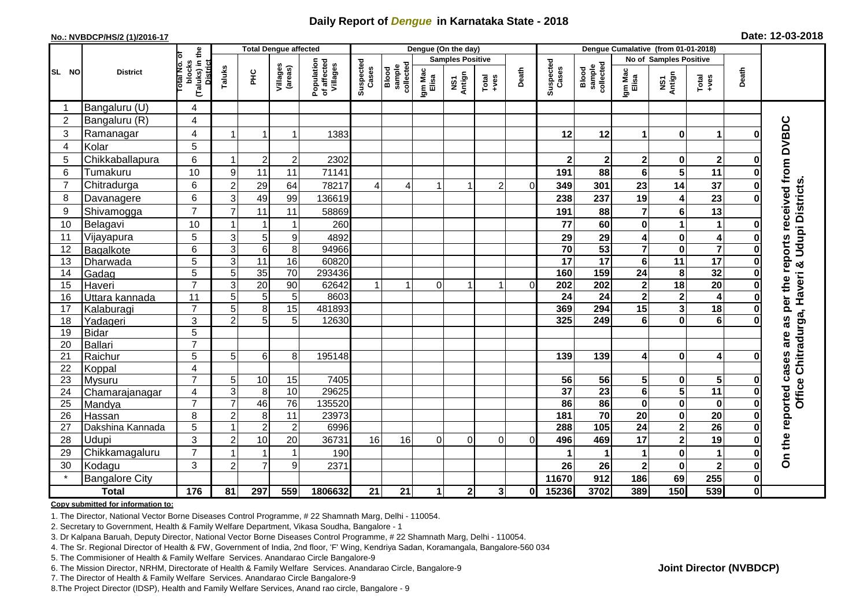## **Daily Report of** *Dengue* **in Karnataka State - 2018**

#### **No.: NVBDCP/HS/2 (1)/2016-17**

| Date: 12-03-2018 |  |  |  |  |
|------------------|--|--|--|--|
|------------------|--|--|--|--|

|                |                            |                                                           | <b>Total Dengue affected</b> |                 |                     |                                       |                    |                              |                  | Dengue (On the day)     |                                                              |          | Dengue Cumalative (from 01-01-2018) |                              |                         |                                        |                                            |               |                                               |
|----------------|----------------------------|-----------------------------------------------------------|------------------------------|-----------------|---------------------|---------------------------------------|--------------------|------------------------------|------------------|-------------------------|--------------------------------------------------------------|----------|-------------------------------------|------------------------------|-------------------------|----------------------------------------|--------------------------------------------|---------------|-----------------------------------------------|
|                |                            | ō                                                         |                              |                 |                     |                                       |                    |                              |                  | <b>Samples Positive</b> |                                                              |          |                                     |                              |                         | No of Samples Positive                 |                                            |               |                                               |
| SL NO          | <b>District</b>            | (Taluks) in the<br>blocks<br>Total No.<br><b>District</b> | Taluks                       | 울               | Villages<br>(areas) | Population<br>of affected<br>Villages | Suspected<br>Cases | sample<br>collected<br>Blood | Igm Mac<br>Elisa | NS1<br>Antign           | $\begin{array}{c}\n\text{Total} \\ \text{+ves}\n\end{array}$ | Death    | Suspected<br>Cases                  | sample<br>collected<br>Blood | Igm Mac<br>Elisa        | NS1<br>Antign                          | Total<br>+ves                              | Death         |                                               |
|                | Bangaluru (U)              | 4                                                         |                              |                 |                     |                                       |                    |                              |                  |                         |                                                              |          |                                     |                              |                         |                                        |                                            |               |                                               |
| $\overline{2}$ | Bangaluru (R)              | 4                                                         |                              |                 |                     |                                       |                    |                              |                  |                         |                                                              |          |                                     |                              |                         |                                        |                                            |               |                                               |
| 3              | Ramanagar                  | 4                                                         |                              | -1              | 1                   | 1383                                  |                    |                              |                  |                         |                                                              |          | 12                                  | 12                           | 1                       | $\mathbf 0$                            | 1                                          | U             | per the reports received from DVBDC           |
| $\overline{4}$ | Kolar                      | 5                                                         |                              |                 |                     |                                       |                    |                              |                  |                         |                                                              |          |                                     |                              |                         |                                        |                                            |               |                                               |
| 5              | Chikkaballapura            | 6                                                         |                              | $\overline{c}$  | $\overline{2}$      | 2302                                  |                    |                              |                  |                         |                                                              |          | $\mathbf{2}$                        | $\mathbf{2}$                 | 2                       | 0                                      | $\boldsymbol{2}$                           | O             |                                               |
| 6              | Tumakuru                   | 10                                                        | 9                            | 11              | 11                  | 71141                                 |                    |                              |                  |                         |                                                              |          | 191                                 | 88                           | 6                       | 5                                      | 11                                         |               |                                               |
| $\overline{7}$ | Chitradurga                | 6                                                         | $\overline{2}$               | 29              | 64                  | 78217                                 | $\overline{4}$     | 4                            |                  | 1                       | $\overline{2}$                                               | $\Omega$ | 349                                 | 301                          | 23                      | 14                                     | 37                                         | 0             |                                               |
| 8              | Davanagere                 | 6                                                         | 3                            | 49              | 99                  | 136619                                |                    |                              |                  |                         |                                                              |          | 238                                 | 237                          | 19                      | 4                                      | 23                                         |               |                                               |
| 9              | Shivamogga                 | $\overline{7}$                                            | $\overline{7}$               | 11              | 11                  | 58869                                 |                    |                              |                  |                         |                                                              |          | 191                                 | 88                           | $\overline{7}$          | $6\phantom{1}6$                        | 13                                         |               | Office Chitradurga, Haveri & Udupi Districts. |
| 10             | Belagavi                   | 10                                                        |                              |                 | 1                   | 260                                   |                    |                              |                  |                         |                                                              |          | 77                                  | 60                           | 0                       | 1                                      | 1                                          | O             |                                               |
| 11             | Vijayapura                 | 5                                                         | $\mathbf{3}$                 | 5               | $\boldsymbol{9}$    | 4892                                  |                    |                              |                  |                         |                                                              |          | 29                                  | 29                           | 4                       | 0                                      | 4                                          |               |                                               |
| 12             | Bagalkote                  | 6                                                         | $\overline{3}$               | $6\phantom{1}6$ | 8                   | 94966                                 |                    |                              |                  |                         |                                                              |          | $\overline{70}$                     | 53                           | $\overline{\mathbf{7}}$ | $\mathbf 0$                            | $\overline{7}$                             |               |                                               |
| 13             | Dharwada                   | $\overline{5}$                                            | 3                            | $\overline{11}$ | 16                  | 60820                                 |                    |                              |                  |                         |                                                              |          | $\overline{17}$                     | 17                           | $6\phantom{a}$          | $\overline{11}$                        | 17                                         | 0             |                                               |
| 14             | Gadag                      | 5                                                         | 5                            | 35              | 70                  | 293436                                |                    |                              |                  |                         |                                                              |          | 160                                 | 159                          | 24                      | 8                                      | 32                                         | O             |                                               |
| 15             | Haveri                     | $\overline{7}$                                            | 3                            | $\overline{20}$ | $\overline{90}$     | 62642                                 |                    | $\mathbf 1$                  | $\overline{0}$   | $\mathbf{1}$            | $\mathbf{1}$                                                 | $\Omega$ | 202                                 | 202                          | $\overline{\mathbf{2}}$ | $\overline{18}$                        | $\overline{20}$                            | $\bf{0}$      |                                               |
| 16             | Uttara kannada             | 11                                                        | 5                            | $\sqrt{5}$      | 5                   | 8603                                  |                    |                              |                  |                         |                                                              |          | 24                                  | 24                           | $\mathbf 2$             | $\mathbf{2}$                           | 4                                          |               |                                               |
| 17             | Kalaburagi                 | $\overline{7}$                                            | 5                            | 8               | 15                  | 481893                                |                    |                              |                  |                         |                                                              |          | 369                                 | 294                          | 15                      | 3                                      | 18                                         |               |                                               |
| 18             | Yadageri                   | 3                                                         | $\overline{2}$               | 5               | 5                   | 12630                                 |                    |                              |                  |                         |                                                              |          | 325                                 | 249                          | 6                       | $\bf{0}$                               | 6                                          |               | as                                            |
| 19             | Bidar                      | 5                                                         |                              |                 |                     |                                       |                    |                              |                  |                         |                                                              |          |                                     |                              |                         |                                        |                                            |               | are                                           |
| 20             | Ballari                    | $\overline{7}$                                            |                              |                 |                     |                                       |                    |                              |                  |                         |                                                              |          |                                     |                              |                         |                                        |                                            |               |                                               |
| 21             | Raichur                    | 5                                                         | 5                            | 6               | 8                   | 195148                                |                    |                              |                  |                         |                                                              |          | 139                                 | 139                          | 4                       | $\bf{0}$                               | 4                                          |               |                                               |
| 22             | Koppal                     | 4                                                         |                              |                 |                     |                                       |                    |                              |                  |                         |                                                              |          |                                     |                              |                         |                                        |                                            |               |                                               |
| 23             | Mysuru                     | $\overline{7}$                                            | 5                            | 10              | 15<br>10            | 7405                                  |                    |                              |                  |                         |                                                              |          | $\overline{56}$<br>$\overline{37}$  | 56<br>$\overline{23}$        | 5 <sup>1</sup>          | $\mathbf 0$<br>$\overline{\mathbf{5}}$ | $\overline{\mathbf{5}}$<br>$\overline{11}$ | O             |                                               |
| 24<br>25       | Chamarajanagar             | 4<br>$\overline{7}$                                       | 3<br>$\overline{7}$          | 8<br>46         | $\overline{76}$     | 29625<br>135520                       |                    |                              |                  |                         |                                                              |          | 86                                  | 86                           | $\bf 6$<br>$\mathbf 0$  | $\mathbf 0$                            | $\bf{0}$                                   | 0<br>$\bf{0}$ |                                               |
| 26             | Mandya                     | 8                                                         | $\overline{2}$               | 8               | 11                  | 23973                                 |                    |                              |                  |                         |                                                              |          | 181                                 | 70                           | $\overline{20}$         | $\mathbf 0$                            | 20                                         | $\bf{0}$      |                                               |
| 27             | Hassan<br>Dakshina Kannada | 5                                                         |                              | $\overline{c}$  | $\overline{2}$      | 6996                                  |                    |                              |                  |                         |                                                              |          | 288                                 | $\frac{105}{105}$            | $\overline{24}$         | $\overline{\mathbf{2}}$                | 26                                         | 0             |                                               |
| 28             | <b>Udupi</b>               | 3                                                         | $\overline{2}$               | 10              | 20                  | 36731                                 | 16                 | 16                           | $\overline{0}$   | $\Omega$                | $\Omega$                                                     | $\Omega$ | 496                                 | 469                          | 17                      | $\overline{\mathbf{2}}$                | 19                                         | ŋ             |                                               |
| 29             | Chikkamagaluru             | $\overline{7}$                                            |                              |                 | 1                   | 190                                   |                    |                              |                  |                         |                                                              |          |                                     |                              | 1                       | $\mathbf 0$                            |                                            | 0             | On the reported cases                         |
| 30             | Kodagu                     | 3                                                         | $\overline{2}$               | $\overline{7}$  | 9                   | 2371                                  |                    |                              |                  |                         |                                                              |          | 26                                  | 26                           | $\mathbf 2$             | $\mathbf 0$                            | $\overline{2}$                             | 0             |                                               |
|                | <b>Bangalore City</b>      |                                                           |                              |                 |                     |                                       |                    |                              |                  |                         |                                                              |          | 11670                               | 912                          | 186                     | 69                                     | 255                                        | $\mathbf 0$   |                                               |
|                | <b>Total</b>               | 176                                                       | 81                           | 297             | 559                 | 1806632                               | 21                 | 21                           | 1                | $\mathbf{2}$            | 3                                                            | 0l       | 15236                               | 3702                         | 389                     | 150                                    | 539                                        | Οl            |                                               |
|                |                            |                                                           |                              |                 |                     |                                       |                    |                              |                  |                         |                                                              |          |                                     |                              |                         |                                        |                                            |               |                                               |

#### **Copy submitted for information to:**

1. The Director, National Vector Borne Diseases Control Programme, # 22 Shamnath Marg, Delhi - 110054.

2. Secretary to Government, Health & Family Welfare Department, Vikasa Soudha, Bangalore - 1

3. Dr Kalpana Baruah, Deputy Director, National Vector Borne Diseases Control Programme, # 22 Shamnath Marg, Delhi - 110054.

- 4. The Sr. Regional Director of Health & FW, Government of India, 2nd floor, 'F' Wing, Kendriya Sadan, Koramangala, Bangalore-560 034
- 5. The Commisioner of Health & Family Welfare Services. Anandarao Circle Bangalore-9
- 6. The Mission Director, NRHM, Directorate of Health & Family Welfare Services. Anandarao Circle, Bangalore-9

7. The Director of Health & Family Welfare Services. Anandarao Circle Bangalore-9

8. The Project Director (IDSP), Health and Family Welfare Services, Anand rao circle, Bangalore - 9